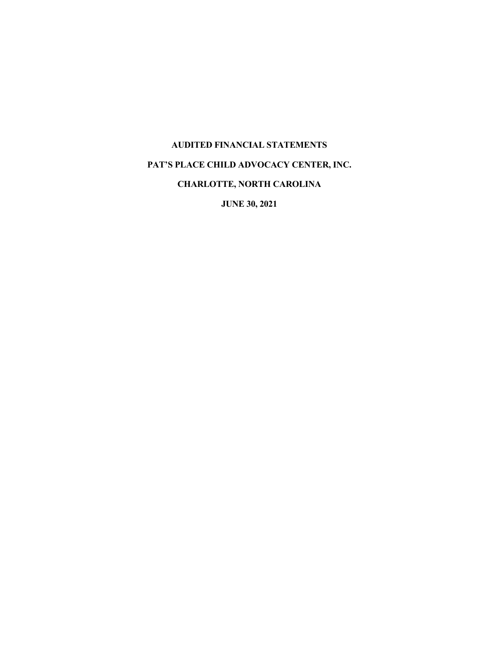# **AUDITED FINANCIAL STATEMENTS PAT'S PLACE CHILD ADVOCACY CENTER, INC. CHARLOTTE, NORTH CAROLINA**

**JUNE 30, 2021**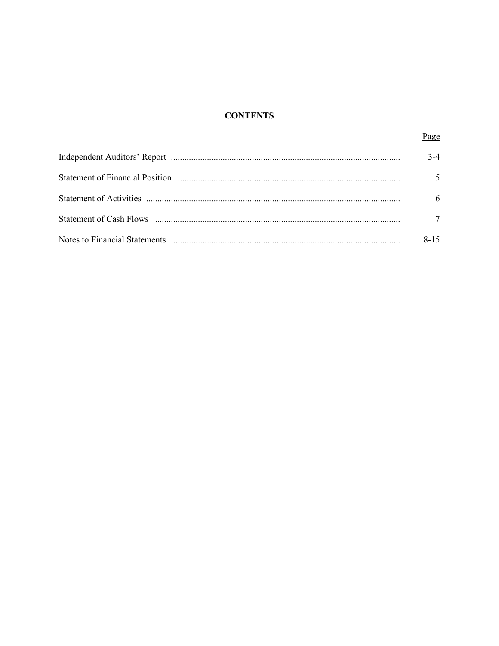# **CONTENTS**

| $3-4$    |
|----------|
|          |
|          |
|          |
| $8 - 15$ |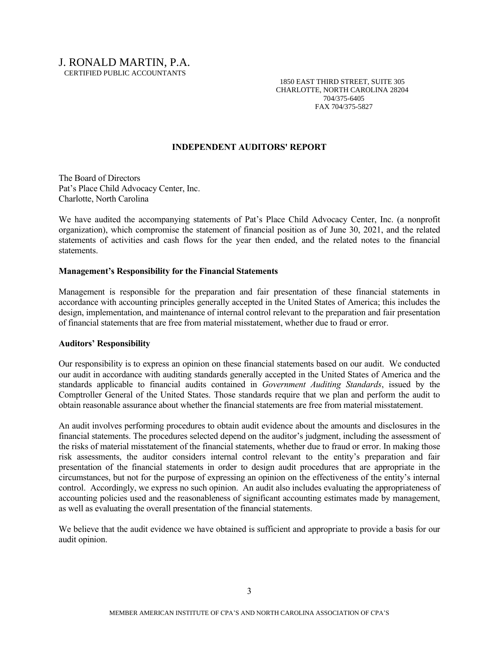#### J. RONALD MARTIN, P.A. CERTIFIED PUBLIC ACCOUNTANTS

 1850 EAST THIRD STREET, SUITE 305 CHARLOTTE, NORTH CAROLINA 28204 704/375-6405 FAX 704/375-5827

#### **INDEPENDENT AUDITORS' REPORT**

The Board of Directors Pat's Place Child Advocacy Center, Inc. Charlotte, North Carolina

We have audited the accompanying statements of Pat's Place Child Advocacy Center, Inc. (a nonprofit organization), which compromise the statement of financial position as of June 30, 2021, and the related statements of activities and cash flows for the year then ended, and the related notes to the financial statements.

#### **Management's Responsibility for the Financial Statements**

Management is responsible for the preparation and fair presentation of these financial statements in accordance with accounting principles generally accepted in the United States of America; this includes the design, implementation, and maintenance of internal control relevant to the preparation and fair presentation of financial statements that are free from material misstatement, whether due to fraud or error.

#### **Auditors' Responsibility**

Our responsibility is to express an opinion on these financial statements based on our audit. We conducted our audit in accordance with auditing standards generally accepted in the United States of America and the standards applicable to financial audits contained in *Government Auditing Standards*, issued by the Comptroller General of the United States. Those standards require that we plan and perform the audit to obtain reasonable assurance about whether the financial statements are free from material misstatement.

An audit involves performing procedures to obtain audit evidence about the amounts and disclosures in the financial statements. The procedures selected depend on the auditor's judgment, including the assessment of the risks of material misstatement of the financial statements, whether due to fraud or error. In making those risk assessments, the auditor considers internal control relevant to the entity's preparation and fair presentation of the financial statements in order to design audit procedures that are appropriate in the circumstances, but not for the purpose of expressing an opinion on the effectiveness of the entity's internal control. Accordingly, we express no such opinion. An audit also includes evaluating the appropriateness of accounting policies used and the reasonableness of significant accounting estimates made by management, as well as evaluating the overall presentation of the financial statements.

We believe that the audit evidence we have obtained is sufficient and appropriate to provide a basis for our audit opinion.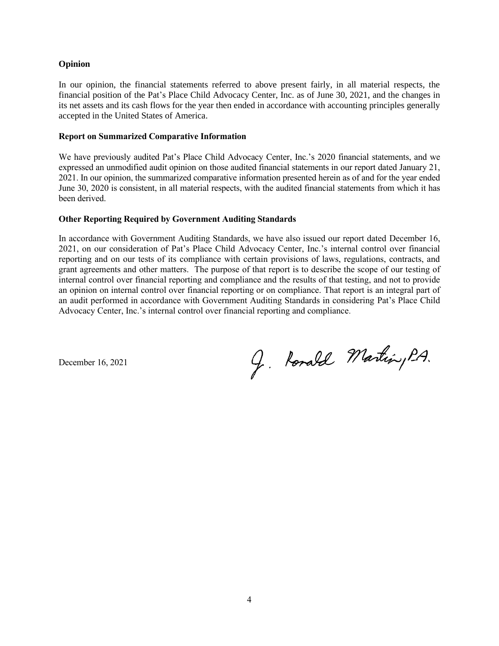#### **Opinion**

In our opinion, the financial statements referred to above present fairly, in all material respects, the financial position of the Pat's Place Child Advocacy Center, Inc. as of June 30, 2021, and the changes in its net assets and its cash flows for the year then ended in accordance with accounting principles generally accepted in the United States of America.

#### **Report on Summarized Comparative Information**

We have previously audited Pat's Place Child Advocacy Center, Inc.'s 2020 financial statements, and we expressed an unmodified audit opinion on those audited financial statements in our report dated January 21, 2021. In our opinion, the summarized comparative information presented herein as of and for the year ended June 30, 2020 is consistent, in all material respects, with the audited financial statements from which it has been derived.

#### **Other Reporting Required by Government Auditing Standards**

In accordance with Government Auditing Standards, we have also issued our report dated December 16, 2021, on our consideration of Pat's Place Child Advocacy Center, Inc.'s internal control over financial reporting and on our tests of its compliance with certain provisions of laws, regulations, contracts, and grant agreements and other matters. The purpose of that report is to describe the scope of our testing of internal control over financial reporting and compliance and the results of that testing, and not to provide an opinion on internal control over financial reporting or on compliance. That report is an integral part of an audit performed in accordance with Government Auditing Standards in considering Pat's Place Child Advocacy Center, Inc.'s internal control over financial reporting and compliance.

December 16, 2021

J. Ronald Martin P.A.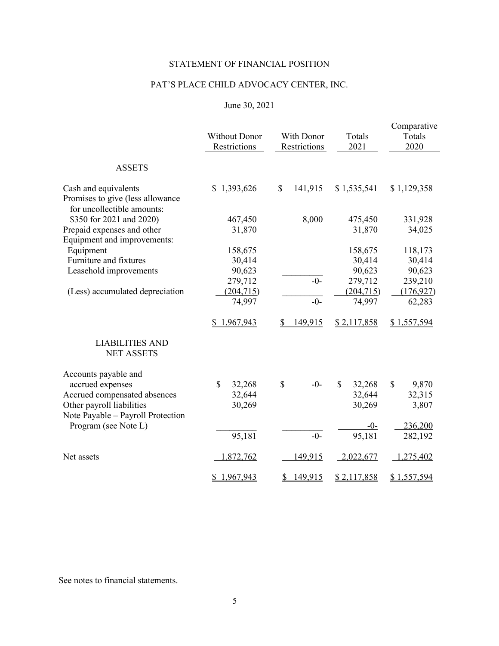## STATEMENT OF FINANCIAL POSITION

### PAT'S PLACE CHILD ADVOCACY CENTER, INC.

# June 30, 2021

|                                                                                        | <b>Without Donor</b><br>Restrictions | With Donor<br>Restrictions | Totals<br>2021 | Comparative<br>Totals<br>2020 |
|----------------------------------------------------------------------------------------|--------------------------------------|----------------------------|----------------|-------------------------------|
| <b>ASSETS</b>                                                                          |                                      |                            |                |                               |
| Cash and equivalents<br>Promises to give (less allowance<br>for uncollectible amounts: | \$1,393,626                          | \$<br>141,915              | \$1,535,541    | \$1,129,358                   |
| \$350 for 2021 and 2020)                                                               | 467,450                              | 8,000                      | 475,450        | 331,928                       |
| Prepaid expenses and other<br>Equipment and improvements:                              | 31,870                               |                            | 31,870         | 34,025                        |
| Equipment                                                                              | 158,675                              |                            | 158,675        | 118,173                       |
| Furniture and fixtures                                                                 | 30,414                               |                            | 30,414         | 30,414                        |
| Leasehold improvements                                                                 | 90,623                               |                            | 90,623         | 90,623                        |
|                                                                                        | 279,712                              | $-0-$                      | 279,712        | 239,210                       |
| (Less) accumulated depreciation                                                        | (204, 715)                           |                            | (204, 715)     | (176, 927)                    |
|                                                                                        | 74,997                               | $-0-$                      | 74,997         | 62,283                        |
|                                                                                        | \$1,967,943                          | 149,915                    | \$2,117,858    | \$1,557,594                   |
| <b>LIABILITIES AND</b><br><b>NET ASSETS</b>                                            |                                      |                            |                |                               |
| Accounts payable and                                                                   |                                      |                            |                |                               |
| accrued expenses                                                                       | $\mathbb{S}$<br>32,268               | \$<br>$-0-$                | \$<br>32,268   | \$<br>9,870                   |
| Accrued compensated absences                                                           | 32,644                               |                            | 32,644         | 32,315                        |
| Other payroll liabilities                                                              | 30,269                               |                            | 30,269         | 3,807                         |
| Note Payable - Payroll Protection                                                      |                                      |                            |                |                               |
| Program (see Note L)                                                                   |                                      |                            | $-0-$          | 236,200                       |
|                                                                                        | 95,181                               | $-0-$                      | 95,181         | 282,192                       |
| Net assets                                                                             | 1,872,762                            | 149,915                    | 2,022,677      | 1,275,402                     |
|                                                                                        | \$1,967,943                          | 149,915<br>S               | \$2,117,858    | \$1,557,594                   |

See notes to financial statements.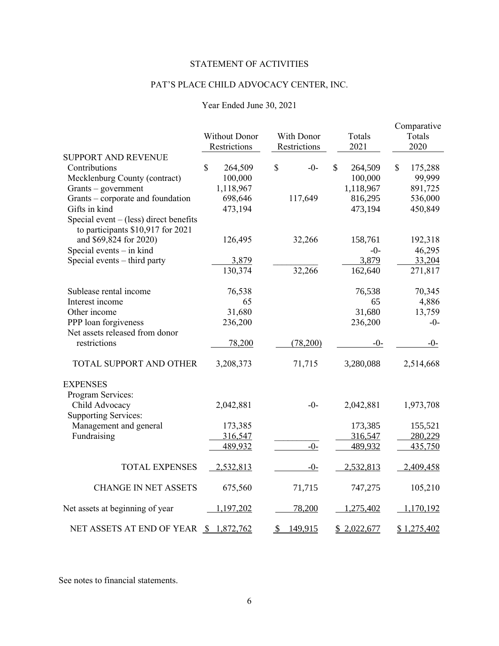# STATEMENT OF ACTIVITIES

### PAT'S PLACE CHILD ADVOCACY CENTER, INC.

# Year Ended June 30, 2021

|                                                                                     | <b>Without Donor</b><br>Restrictions | With Donor<br>Restrictions        | Totals<br>2021 | Comparative<br>Totals<br>2020 |
|-------------------------------------------------------------------------------------|--------------------------------------|-----------------------------------|----------------|-------------------------------|
| <b>SUPPORT AND REVENUE</b>                                                          |                                      |                                   |                |                               |
| Contributions                                                                       | \$<br>264,509                        | \$<br>$-0-$                       | \$<br>264,509  | \$<br>175,288                 |
| Mecklenburg County (contract)                                                       | 100,000                              |                                   | 100,000        | 99,999                        |
| $Grants - government$                                                               | 1,118,967                            |                                   | 1,118,967      | 891,725                       |
| Grants – corporate and foundation                                                   | 698,646                              | 117,649                           | 816,295        | 536,000                       |
| Gifts in kind                                                                       | 473,194                              |                                   | 473,194        | 450,849                       |
| Special event $-(\text{less})$ direct benefits<br>to participants \$10,917 for 2021 |                                      |                                   |                |                               |
| and \$69,824 for 2020)                                                              | 126,495                              | 32,266                            | 158,761        | 192,318                       |
| Special events - in kind                                                            |                                      |                                   | $-0-$          | 46,295                        |
| Special events - third party                                                        | 3,879                                |                                   | 3,879          | 33,204                        |
|                                                                                     | 130,374                              | 32,266                            | 162,640        | 271,817                       |
| Sublease rental income                                                              | 76,538                               |                                   | 76,538         | 70,345                        |
| Interest income                                                                     | 65                                   |                                   | 65             | 4,886                         |
| Other income                                                                        | 31,680                               |                                   | 31,680         | 13,759                        |
| PPP loan forgiveness                                                                | 236,200                              |                                   | 236,200        | $-0-$                         |
| Net assets released from donor                                                      |                                      |                                   |                |                               |
| restrictions                                                                        | 78,200                               | (78,200)                          | $-0-$          | $-0-$                         |
| TOTAL SUPPORT AND OTHER                                                             | 3,208,373                            | 71,715                            | 3,280,088      | 2,514,668                     |
| <b>EXPENSES</b>                                                                     |                                      |                                   |                |                               |
| Program Services:                                                                   |                                      |                                   |                |                               |
| Child Advocacy                                                                      | 2,042,881                            | $-0-$                             | 2,042,881      | 1,973,708                     |
| <b>Supporting Services:</b><br>Management and general                               |                                      |                                   | 173,385        | 155,521                       |
| Fundraising                                                                         | 173,385<br>316,547                   |                                   | 316,547        | 280,229                       |
|                                                                                     | 489,932                              | $-0-$                             | 489,932        | 435,750                       |
|                                                                                     |                                      |                                   |                |                               |
| <b>TOTAL EXPENSES</b>                                                               | 2,532,813                            | $-0-$                             | 2,532,813      | 2,409,458                     |
| <b>CHANGE IN NET ASSETS</b>                                                         | 675,560                              | 71,715                            | 747,275        | 105,210                       |
| Net assets at beginning of year                                                     | 1,197,202                            | 78,200                            | 1,275,402      | 1,170,192                     |
| NET ASSETS AT END OF YEAR \$1,872,762                                               |                                      | 149,915<br>$\mathbf{\mathcal{L}}$ | \$2,022,677    | \$1,275,402                   |

See notes to financial statements.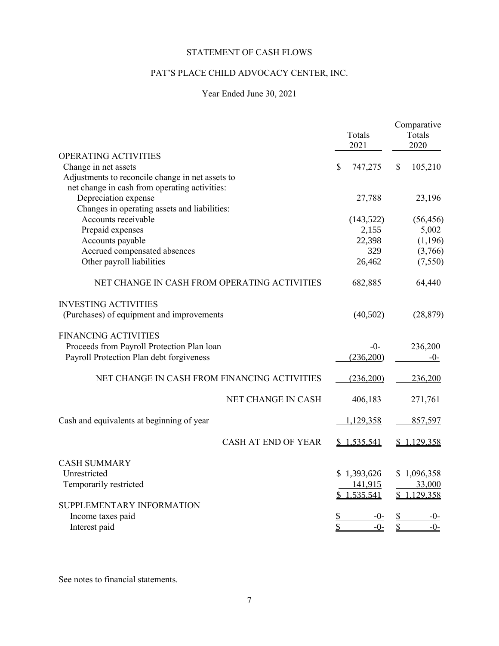# STATEMENT OF CASH FLOWS

# PAT'S PLACE CHILD ADVOCACY CENTER, INC.

### Year Ended June 30, 2021

|                                                                                                                       |                            | Totals<br>2021     | Comparative<br>Totals<br>2020 |
|-----------------------------------------------------------------------------------------------------------------------|----------------------------|--------------------|-------------------------------|
| OPERATING ACTIVITIES<br>Change in net assets                                                                          |                            | \$<br>747,275      | \$<br>105,210                 |
| Adjustments to reconcile change in net assets to                                                                      |                            |                    |                               |
| net change in cash from operating activities:                                                                         |                            |                    |                               |
| Depreciation expense                                                                                                  |                            | 27,788             | 23,196                        |
| Changes in operating assets and liabilities:                                                                          |                            |                    |                               |
| Accounts receivable                                                                                                   |                            | (143, 522)         | (56, 456)                     |
| Prepaid expenses                                                                                                      |                            | 2,155              | 5,002                         |
| Accounts payable                                                                                                      |                            | 22,398             | (1,196)                       |
| Accrued compensated absences                                                                                          |                            | 329                | (3,766)                       |
| Other payroll liabilities                                                                                             |                            | 26,462             | (7,550)                       |
| NET CHANGE IN CASH FROM OPERATING ACTIVITIES                                                                          |                            | 682,885            | 64,440                        |
| <b>INVESTING ACTIVITIES</b><br>(Purchases) of equipment and improvements                                              |                            | (40,502)           | (28, 879)                     |
| <b>FINANCING ACTIVITIES</b><br>Proceeds from Payroll Protection Plan loan<br>Payroll Protection Plan debt forgiveness |                            | $-()$<br>(236,200) | 236,200<br>$-0-$              |
| NET CHANGE IN CASH FROM FINANCING ACTIVITIES                                                                          |                            | (236,200)          | 236,200                       |
|                                                                                                                       | NET CHANGE IN CASH         | 406,183            | 271,761                       |
| Cash and equivalents at beginning of year                                                                             |                            | 1,129,358          | 857,597                       |
|                                                                                                                       | <b>CASH AT END OF YEAR</b> | \$1,535,541        | \$1,129,358                   |
| <b>CASH SUMMARY</b>                                                                                                   |                            |                    |                               |
| Unrestricted                                                                                                          |                            | \$1,393,626        | \$1,096,358                   |
| Temporarily restricted                                                                                                |                            | 141,915            | 33,000                        |
|                                                                                                                       |                            | \$1,535,541        | \$1,129,358                   |
| SUPPLEMENTARY INFORMATION                                                                                             |                            |                    |                               |
| Income taxes paid                                                                                                     |                            | \$<br><u>-0-</u>   | \$<br>$-0-$                   |
| Interest paid                                                                                                         |                            | \$<br>$-0-$        | \$<br>$-0-$                   |

See notes to financial statements.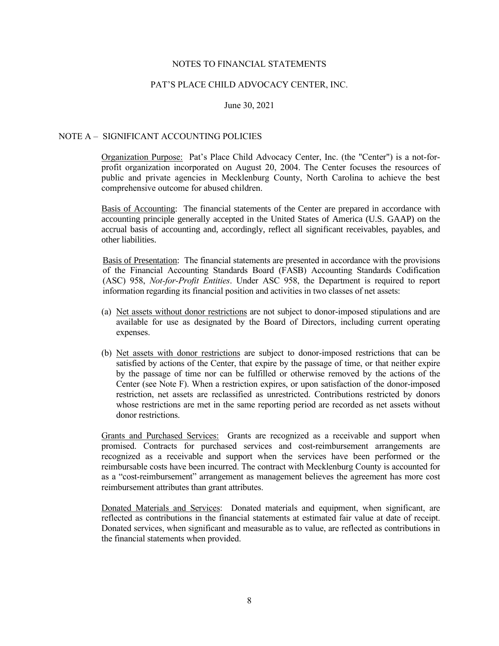#### NOTES TO FINANCIAL STATEMENTS

#### PAT'S PLACE CHILD ADVOCACY CENTER, INC.

#### June 30, 2021

### NOTE A – SIGNIFICANT ACCOUNTING POLICIES

Organization Purpose: Pat's Place Child Advocacy Center, Inc. (the "Center") is a not-forprofit organization incorporated on August 20, 2004. The Center focuses the resources of public and private agencies in Mecklenburg County, North Carolina to achieve the best comprehensive outcome for abused children.

Basis of Accounting: The financial statements of the Center are prepared in accordance with accounting principle generally accepted in the United States of America (U.S. GAAP) on the accrual basis of accounting and, accordingly, reflect all significant receivables, payables, and other liabilities.

Basis of Presentation: The financial statements are presented in accordance with the provisions of the Financial Accounting Standards Board (FASB) Accounting Standards Codification (ASC) 958, *Not-for-Profit Entities*. Under ASC 958, the Department is required to report information regarding its financial position and activities in two classes of net assets:

- (a) Net assets without donor restrictions are not subject to donor-imposed stipulations and are available for use as designated by the Board of Directors, including current operating expenses.
- (b) Net assets with donor restrictions are subject to donor-imposed restrictions that can be satisfied by actions of the Center, that expire by the passage of time, or that neither expire by the passage of time nor can be fulfilled or otherwise removed by the actions of the Center (see Note F). When a restriction expires, or upon satisfaction of the donor-imposed restriction, net assets are reclassified as unrestricted. Contributions restricted by donors whose restrictions are met in the same reporting period are recorded as net assets without donor restrictions.

Grants and Purchased Services: Grants are recognized as a receivable and support when promised. Contracts for purchased services and cost-reimbursement arrangements are recognized as a receivable and support when the services have been performed or the reimbursable costs have been incurred. The contract with Mecklenburg County is accounted for as a "cost-reimbursement" arrangement as management believes the agreement has more cost reimbursement attributes than grant attributes.

Donated Materials and Services: Donated materials and equipment, when significant, are reflected as contributions in the financial statements at estimated fair value at date of receipt. Donated services, when significant and measurable as to value, are reflected as contributions in the financial statements when provided.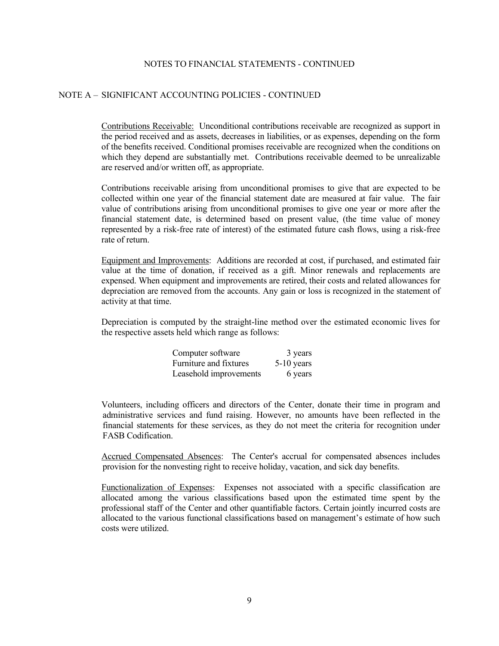#### NOTE A – SIGNIFICANT ACCOUNTING POLICIES - CONTINUED

Contributions Receivable: Unconditional contributions receivable are recognized as support in the period received and as assets, decreases in liabilities, or as expenses, depending on the form of the benefits received. Conditional promises receivable are recognized when the conditions on which they depend are substantially met. Contributions receivable deemed to be unrealizable are reserved and/or written off, as appropriate.

Contributions receivable arising from unconditional promises to give that are expected to be collected within one year of the financial statement date are measured at fair value. The fair value of contributions arising from unconditional promises to give one year or more after the financial statement date, is determined based on present value, (the time value of money represented by a risk-free rate of interest) of the estimated future cash flows, using a risk-free rate of return.

Equipment and Improvements: Additions are recorded at cost, if purchased, and estimated fair value at the time of donation, if received as a gift. Minor renewals and replacements are expensed. When equipment and improvements are retired, their costs and related allowances for depreciation are removed from the accounts. Any gain or loss is recognized in the statement of activity at that time.

Depreciation is computed by the straight-line method over the estimated economic lives for the respective assets held which range as follows:

| Computer software      | 3 years      |
|------------------------|--------------|
| Furniture and fixtures | $5-10$ years |
| Leasehold improvements | 6 years      |

Volunteers, including officers and directors of the Center, donate their time in program and administrative services and fund raising. However, no amounts have been reflected in the financial statements for these services, as they do not meet the criteria for recognition under FASB Codification.

Accrued Compensated Absences: The Center's accrual for compensated absences includes provision for the nonvesting right to receive holiday, vacation, and sick day benefits.

Functionalization of Expenses: Expenses not associated with a specific classification are allocated among the various classifications based upon the estimated time spent by the professional staff of the Center and other quantifiable factors. Certain jointly incurred costs are allocated to the various functional classifications based on management's estimate of how such costs were utilized.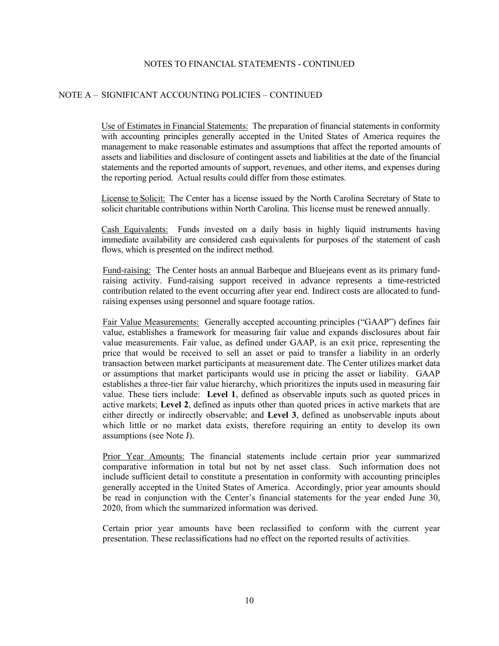#### NOTE A – SIGNIFICANT ACCOUNTING POLICIES – CONTINUED

Use of Estimates in Financial Statements: The preparation of financial statements in conformity with accounting principles generally accepted in the United States of America requires the management to make reasonable estimates and assumptions that affect the reported amounts of assets and liabilities and disclosure of contingent assets and liabilities at the date of the financial statements and the reported amounts of support, revenues, and other items, and expenses during the reporting period. Actual results could differ from those estimates.

License to Solicit: The Center has a license issued by the North Carolina Secretary of State to solicit charitable contributions within North Carolina. This license must be renewed annually.

Cash Equivalents: Funds invested on a daily basis in highly liquid instruments having immediate availability are considered cash equivalents for purposes of the statement of cash flows, which is presented on the indirect method.

Fund-raising: The Center hosts an annual Barbeque and Bluejeans event as its primary fundraising activity. Fund-raising support received in advance represents a time-restricted contribution related to the event occurring after year end. Indirect costs are allocated to fundraising expenses using personnel and square footage ratios.

Fair Value Measurements: Generally accepted accounting principles ("GAAP") defines fair value, establishes a framework for measuring fair value and expands disclosures about fair value measurements. Fair value, as defined under GAAP, is an exit price, representing the price that would be received to sell an asset or paid to transfer a liability in an orderly transaction between market participants at measurement date. The Center utilizes market data or assumptions that market participants would use in pricing the asset or liability. GAAP establishes a three-tier fair value hierarchy, which prioritizes the inputs used in measuring fair value. These tiers include: **Level 1**, defined as observable inputs such as quoted prices in active markets; **Level 2**, defined as inputs other than quoted prices in active markets that are either directly or indirectly observable; and **Level 3**, defined as unobservable inputs about which little or no market data exists, therefore requiring an entity to develop its own assumptions (see Note J).

Prior Year Amounts: The financial statements include certain prior year summarized comparative information in total but not by net asset class. Such information does not include sufficient detail to constitute a presentation in conformity with accounting principles generally accepted in the United States of America. Accordingly, prior year amounts should be read in conjunction with the Center's financial statements for the year ended June 30, 2020, from which the summarized information was derived.

Certain prior year amounts have been reclassified to conform with the current year presentation. These reclassifications had no effect on the reported results of activities.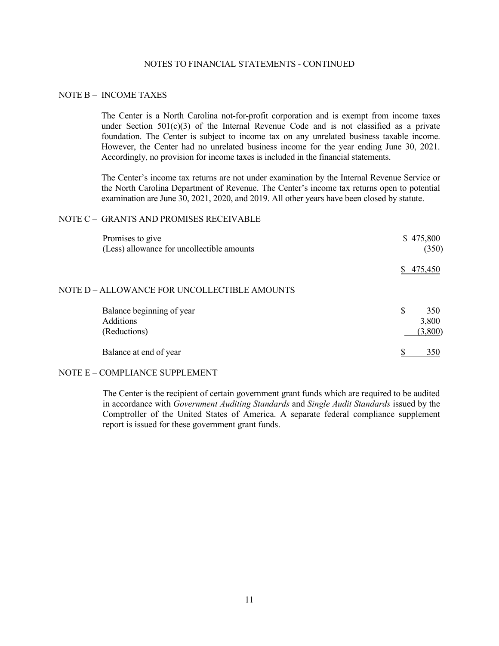#### NOTE B – INCOME TAXES

The Center is a North Carolina not-for-profit corporation and is exempt from income taxes under Section 501(c)(3) of the Internal Revenue Code and is not classified as a private foundation. The Center is subject to income tax on any unrelated business taxable income. However, the Center had no unrelated business income for the year ending June 30, 2021. Accordingly, no provision for income taxes is included in the financial statements.

The Center's income tax returns are not under examination by the Internal Revenue Service or the North Carolina Department of Revenue. The Center's income tax returns open to potential examination are June 30, 2021, 2020, and 2019. All other years have been closed by statute.

#### NOTE C – GRANTS AND PROMISES RECEIVABLE

| Promises to give<br>(Less) allowance for uncollectible amounts | \$475,800<br>(350)            |
|----------------------------------------------------------------|-------------------------------|
|                                                                | 475,450                       |
| NOTE D – ALLOWANCE FOR UNCOLLECTIBLE AMOUNTS                   |                               |
| Balance beginning of year<br><b>Additions</b><br>(Reductions)  | \$<br>350<br>3,800<br>(3,800) |
| Balance at end of year                                         | 350                           |

#### NOTE E – COMPLIANCE SUPPLEMENT

The Center is the recipient of certain government grant funds which are required to be audited in accordance with *Government Auditing Standards* and *Single Audit Standards* issued by the Comptroller of the United States of America. A separate federal compliance supplement report is issued for these government grant funds.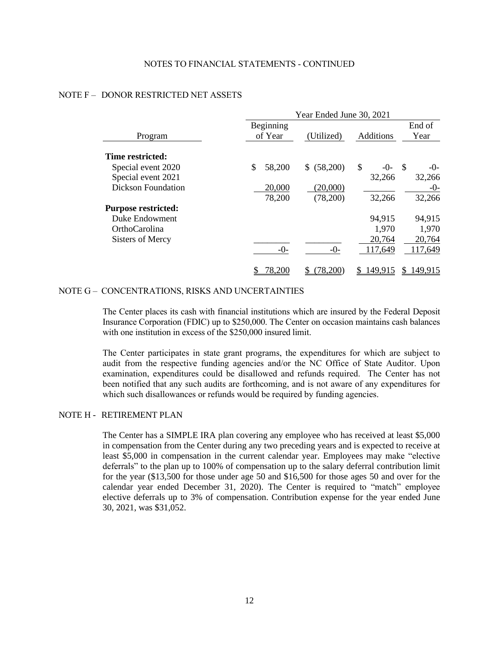#### NOTE F – DONOR RESTRICTED NET ASSETS

|                            | Year Ended June 30, 2021 |                |               |              |  |  |  |
|----------------------------|--------------------------|----------------|---------------|--------------|--|--|--|
|                            | Beginning                |                |               | End of       |  |  |  |
| Program                    | of Year                  | (Utilized)     | Additions     | Year         |  |  |  |
| Time restricted:           |                          |                |               |              |  |  |  |
| Special event 2020         | \$<br>58,200             | (58,200)<br>\$ | \$<br>$-()$ - | - \$<br>-0-  |  |  |  |
| Special event 2021         |                          |                | 32,266        | 32,266       |  |  |  |
| <b>Dickson Foundation</b>  | 20,000                   | (20,000)       |               | $-0-$        |  |  |  |
|                            | 78,200                   | (78,200)       | 32,266        | 32,266       |  |  |  |
| <b>Purpose restricted:</b> |                          |                |               |              |  |  |  |
| Duke Endowment             |                          |                | 94,915        | 94,915       |  |  |  |
| <b>OrthoCarolina</b>       |                          |                | 1,970         | 1,970        |  |  |  |
| Sisters of Mercy           |                          |                | 20,764        | 20,764       |  |  |  |
|                            | $-0-$                    | $-0-$          | 117,649       | 117,649      |  |  |  |
|                            | 78,200                   | 78,200         | 149,915       | 149,915<br>S |  |  |  |

#### NOTE G – CONCENTRATIONS, RISKS AND UNCERTAINTIES

The Center places its cash with financial institutions which are insured by the Federal Deposit Insurance Corporation (FDIC) up to \$250,000. The Center on occasion maintains cash balances with one institution in excess of the \$250,000 insured limit.

The Center participates in state grant programs, the expenditures for which are subject to audit from the respective funding agencies and/or the NC Office of State Auditor. Upon examination, expenditures could be disallowed and refunds required. The Center has not been notified that any such audits are forthcoming, and is not aware of any expenditures for which such disallowances or refunds would be required by funding agencies.

#### NOTE H - RETIREMENT PLAN

The Center has a SIMPLE IRA plan covering any employee who has received at least \$5,000 in compensation from the Center during any two preceding years and is expected to receive at least \$5,000 in compensation in the current calendar year. Employees may make "elective deferrals" to the plan up to 100% of compensation up to the salary deferral contribution limit for the year (\$13,500 for those under age 50 and \$16,500 for those ages 50 and over for the calendar year ended December 31, 2020). The Center is required to "match" employee elective deferrals up to 3% of compensation. Contribution expense for the year ended June 30, 2021, was \$31,052.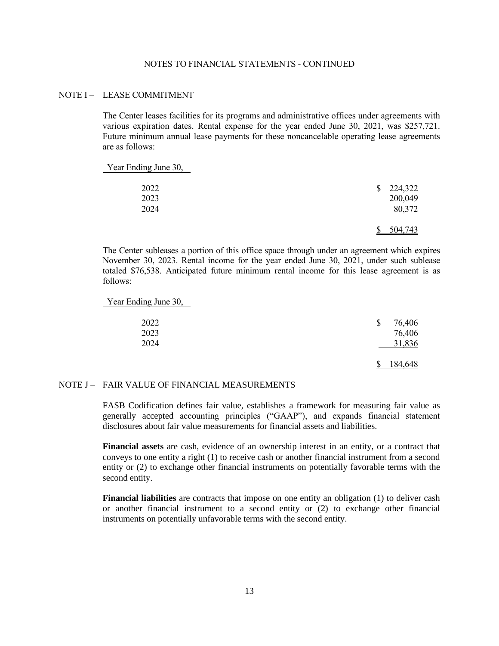#### NOTE I- LEASE COMMITMENT

The Center leases facilities for its programs and administrative offices under agreements with various expiration dates. Rental expense for the year ended June 30, 2021, was \$257,721. Future minimum annual lease payments for these noncancelable operating lease agreements are as follows:

Year Ending June 30,

| 2022 | \$224,322     |
|------|---------------|
| 2023 | 200,049       |
| 2024 | 80,372        |
|      | 504,743<br>\$ |

The Center subleases a portion of this office space through under an agreement which expires November 30, 2023. Rental income for the year ended June 30, 2021, under such sublease totaled \$76,538. Anticipated future minimum rental income for this lease agreement is as follows:

Year Ending June 30,

| 2022<br>2023<br>2024 | \$ | 76,406<br>76,406<br>31,836 |
|----------------------|----|----------------------------|
|                      | S. | 184,648                    |

#### NOTE J – FAIR VALUE OF FINANCIAL MEASUREMENTS

FASB Codification defines fair value, establishes a framework for measuring fair value as generally accepted accounting principles ("GAAP"), and expands financial statement disclosures about fair value measurements for financial assets and liabilities.

**Financial assets** are cash, evidence of an ownership interest in an entity, or a contract that conveys to one entity a right (1) to receive cash or another financial instrument from a second entity or (2) to exchange other financial instruments on potentially favorable terms with the second entity.

**Financial liabilities** are contracts that impose on one entity an obligation (1) to deliver cash or another financial instrument to a second entity or (2) to exchange other financial instruments on potentially unfavorable terms with the second entity.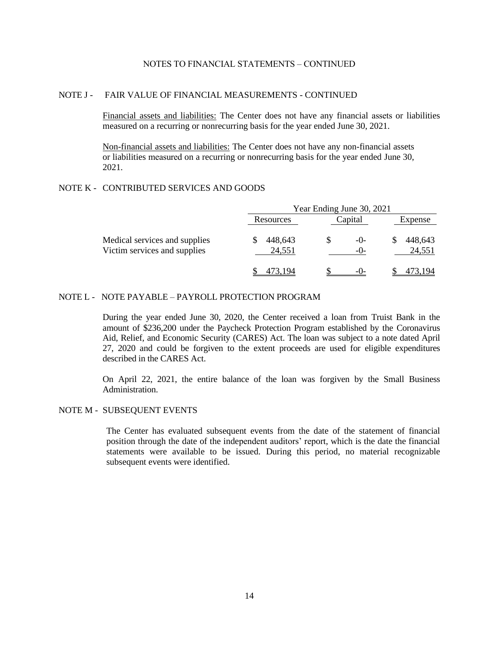#### NOTE J - FAIR VALUE OF FINANCIAL MEASUREMENTS - CONTINUED

Financial assets and liabilities: The Center does not have any financial assets or liabilities measured on a recurring or nonrecurring basis for the year ended June 30, 2021.

Non-financial assets and liabilities: The Center does not have any non-financial assets or liabilities measured on a recurring or nonrecurring basis for the year ended June 30, 2021.

#### NOTE K - CONTRIBUTED SERVICES AND GOODS

|                                                               | Year Ending June 30, 2021 |                |                   |  |  |  |  |
|---------------------------------------------------------------|---------------------------|----------------|-------------------|--|--|--|--|
|                                                               | Resources                 | Capital        | Expense           |  |  |  |  |
| Medical services and supplies<br>Victim services and supplies | 448,643<br>24,551         | $-()$<br>$-()$ | 448,643<br>24,551 |  |  |  |  |
|                                                               |                           | $-()$          |                   |  |  |  |  |

#### NOTE L - NOTE PAYABLE – PAYROLL PROTECTION PROGRAM

During the year ended June 30, 2020, the Center received a loan from Truist Bank in the amount of \$236,200 under the Paycheck Protection Program established by the Coronavirus Aid, Relief, and Economic Security (CARES) Act. The loan was subject to a note dated April 27, 2020 and could be forgiven to the extent proceeds are used for eligible expenditures described in the CARES Act.

On April 22, 2021, the entire balance of the loan was forgiven by the Small Business Administration.

#### NOTE M - SUBSEQUENT EVENTS

The Center has evaluated subsequent events from the date of the statement of financial position through the date of the independent auditors' report, which is the date the financial statements were available to be issued. During this period, no material recognizable subsequent events were identified.